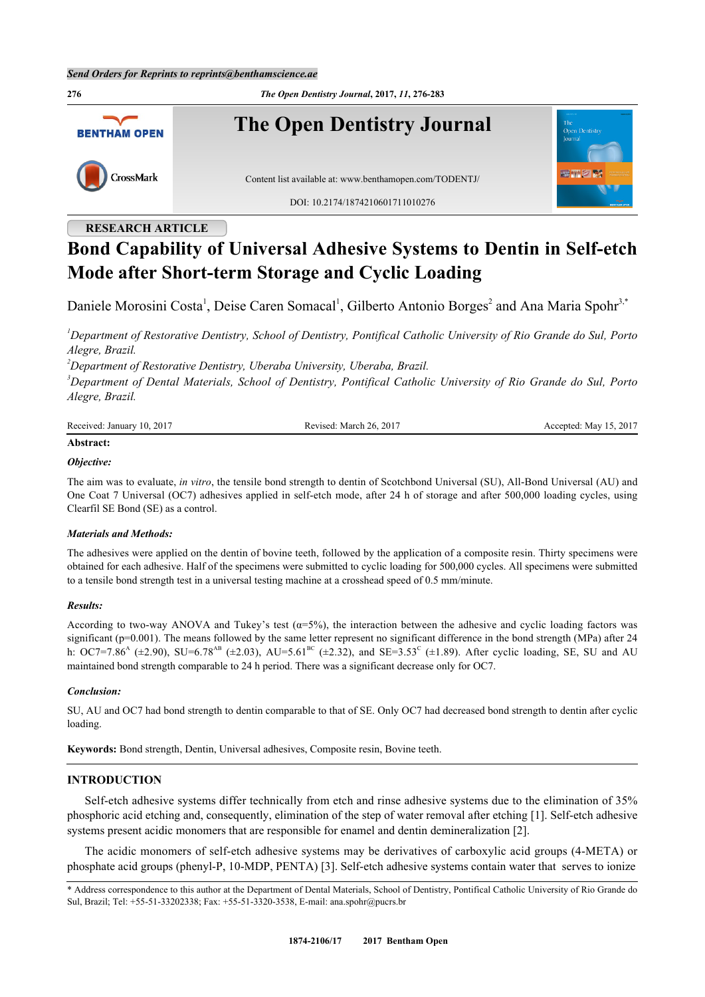**276** *The Open Dentistry Journal***, 2017,** *11***, 276-283 The Open Dentistry Journal BENTHAM OPEN** CrossMark Content list available at: [www.benthamopen.com/TODENTJ/](http://www.benthamopen.com/TODENTJ/) DOI: [10.2174/1874210601711010276](http://dx.doi.org/10.2174/1874210601711010276)

# **RESEARCH ARTICLE**

# **Bond Capability of Universal Adhesive Systems to Dentin in Self-etch Mode after Short-term Storage and Cyclic Loading**

Daniele Morosini Costa<sup>[1](#page-0-0)</sup>, Deise Caren Somacal<sup>1</sup>, Gilberto Antonio Borges<sup>[2](#page-0-1)</sup> and Ana Maria Spohr<sup>[3,](#page-0-2)\*</sup>

<span id="page-0-0"></span>*<sup>1</sup>Department of Restorative Dentistry, School of Dentistry, Pontifical Catholic University of Rio Grande do Sul, Porto Alegre, Brazil.*

<span id="page-0-1"></span>*<sup>2</sup>Department of Restorative Dentistry, Uberaba University, Uberaba, Brazil.*

<span id="page-0-2"></span>*<sup>3</sup>Department of Dental Materials, School of Dentistry, Pontifical Catholic University of Rio Grande do Sul, Porto Alegre, Brazil.*

| Received: January 10, 2017 | .: March 26, 2017<br>cevised: | Accepted: May 15, 2017 |
|----------------------------|-------------------------------|------------------------|
|                            |                               |                        |

# **Abstract:**

# *Objective:*

The aim was to evaluate, *in vitro*, the tensile bond strength to dentin of Scotchbond Universal (SU), All-Bond Universal (AU) and One Coat 7 Universal (OC7) adhesives applied in self-etch mode, after 24 h of storage and after 500,000 loading cycles, using Clearfil SE Bond (SE) as a control.

# *Materials and Methods:*

The adhesives were applied on the dentin of bovine teeth, followed by the application of a composite resin. Thirty specimens were obtained for each adhesive. Half of the specimens were submitted to cyclic loading for 500,000 cycles. All specimens were submitted to a tensile bond strength test in a universal testing machine at a crosshead speed of 0.5 mm/minute.

# *Results:*

According to two-way ANOVA and Tukey's test  $(a=5\%)$ , the interaction between the adhesive and cyclic loading factors was significant (p=0.001). The means followed by the same letter represent no significant difference in the bond strength (MPa) after 24 h: OC7=7.86<sup>A</sup> ( $\pm$ 2.90), SU=6.78<sup>AB</sup> ( $\pm$ 2.03), AU=5.61<sup>BC</sup> ( $\pm$ 2.32), and SE=3.53<sup>C</sup> ( $\pm$ 1.89). After cyclic loading, SE, SU and AU maintained bond strength comparable to 24 h period. There was a significant decrease only for OC7.

# *Conclusion:*

SU, AU and OC7 had bond strength to dentin comparable to that of SE. Only OC7 had decreased bond strength to dentin after cyclic loading.

**Keywords:** Bond strength, Dentin, Universal adhesives, Composite resin, Bovine teeth.

# **INTRODUCTION**

Self-etch adhesive systems differ technically from etch and rinse adhesive systems due to the elimination of 35% phosphoric acid etching and, consequently, elimination of the step of water removal after etching [[1\]](#page-5-0). Self-etch adhesive systems present acidic monomers that are responsible for enamel and dentin demineralization [[2\]](#page-5-1).

The acidic monomers of self-etch adhesive systems may be derivatives of carboxylic acid groups (4-META) or phosphate acid groups (phenyl-P, 10-MDP, PENTA) [\[3](#page-5-2)]. Self-etch adhesive systems contain water that serves to ionize

<sup>\*</sup> Address correspondence to this author at the Department of Dental Materials, School of Dentistry, Pontifical Catholic University of Rio Grande do Sul, Brazil; Tel: +55-51-33202338; Fax: +55-51-3320-3538, E-mail: [ana.spohr@pucrs.br](mailto:ana.spohr@pucrs.br)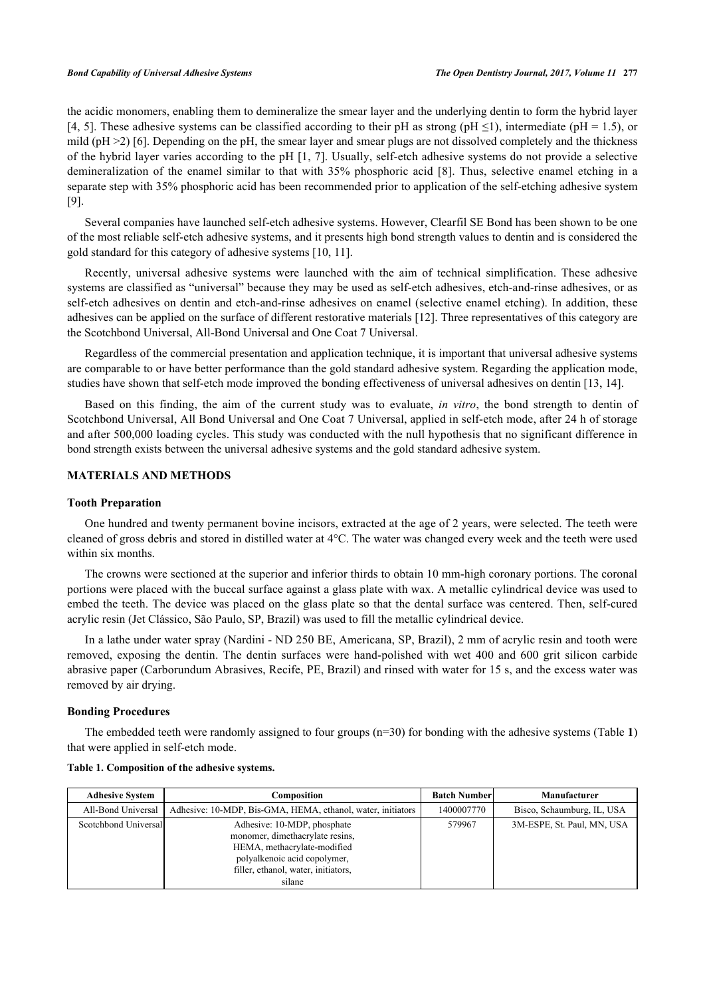the acidic monomers, enabling them to demineralize the smear layer and the underlying dentin to form the hybrid layer [\[4](#page-5-3), [5\]](#page-5-4). These adhesive systems can be classified according to their pH as strong (pH  $\leq$ 1), intermediate (pH = 1.5), or mild ( $pH > 2$ ) [[6\]](#page-5-5). Depending on the  $pH$ , the smear layer and smear plugs are not dissolved completely and the thickness of the hybrid layer varies according to the pH [[1](#page-5-0), [7\]](#page-5-6). Usually, self-etch adhesive systems do not provide a selective demineralization of the enamel similar to that with 35% phosphoric acid [\[8](#page-5-7)]. Thus, selective enamel etching in a separate step with 35% phosphoric acid has been recommended prior to application of the self-etching adhesive system [\[9](#page-6-0)].

Several companies have launched self-etch adhesive systems. However, Clearfil SE Bond has been shown to be one of the most reliable self-etch adhesive systems, and it presents high bond strength values to dentin and is considered the gold standard for this category of adhesive systems [\[10](#page-6-1), [11](#page-6-2)].

Recently, universal adhesive systems were launched with the aim of technical simplification. These adhesive systems are classified as "universal" because they may be used as self-etch adhesives, etch-and-rinse adhesives, or as self-etch adhesives on dentin and etch-and-rinse adhesives on enamel (selective enamel etching). In addition, these adhesives can be applied on the surface of different restorative materials [[12\]](#page-6-3). Three representatives of this category are the Scotchbond Universal, All-Bond Universal and One Coat 7 Universal.

Regardless of the commercial presentation and application technique, it is important that universal adhesive systems are comparable to or have better performance than the gold standard adhesive system. Regarding the application mode, studies have shown that self-etch mode improved the bonding effectiveness of universal adhesives on dentin [\[13](#page-6-4), [14](#page-6-5)].

Based on this finding, the aim of the current study was to evaluate, *in vitro*, the bond strength to dentin of Scotchbond Universal, All Bond Universal and One Coat 7 Universal, applied in self-etch mode, after 24 h of storage and after 500,000 loading cycles. This study was conducted with the null hypothesis that no significant difference in bond strength exists between the universal adhesive systems and the gold standard adhesive system.

# **MATERIALS AND METHODS**

# **Tooth Preparation**

One hundred and twenty permanent bovine incisors, extracted at the age of 2 years, were selected. The teeth were cleaned of gross debris and stored in distilled water at 4°C. The water was changed every week and the teeth were used within six months.

The crowns were sectioned at the superior and inferior thirds to obtain 10 mm-high coronary portions. The coronal portions were placed with the buccal surface against a glass plate with wax. A metallic cylindrical device was used to embed the teeth. The device was placed on the glass plate so that the dental surface was centered. Then, self-cured acrylic resin (Jet Clássico, São Paulo, SP, Brazil) was used to fill the metallic cylindrical device.

In a lathe under water spray (Nardini - ND 250 BE, Americana, SP, Brazil), 2 mm of acrylic resin and tooth were removed, exposing the dentin. The dentin surfaces were hand-polished with wet 400 and 600 grit silicon carbide abrasive paper (Carborundum Abrasives, Recife, PE, Brazil) and rinsed with water for 15 s, and the excess water was removed by air drying.

# **Bonding Procedures**

The embedded teeth were randomly assigned to four groups (n=30) for bonding with the adhesive systems (Table **[1](#page-1-0)**) that were applied in self-etch mode.

| <b>Adhesive System</b> | Composition                                                                                                                                                                    | <b>Batch Number</b> | Manufacturer               |
|------------------------|--------------------------------------------------------------------------------------------------------------------------------------------------------------------------------|---------------------|----------------------------|
| All-Bond Universal     | Adhesive: 10-MDP, Bis-GMA, HEMA, ethanol, water, initiators                                                                                                                    | 1400007770          | Bisco, Schaumburg, IL, USA |
| Scotchbond Universal   | Adhesive: 10-MDP, phosphate<br>monomer, dimethacrylate resins,<br>HEMA, methacrylate-modified<br>polyalkenoic acid copolymer,<br>filler, ethanol, water, initiators,<br>silane | 579967              | 3M-ESPE, St. Paul, MN, USA |

### <span id="page-1-0"></span>**Table 1. Composition of the adhesive systems.**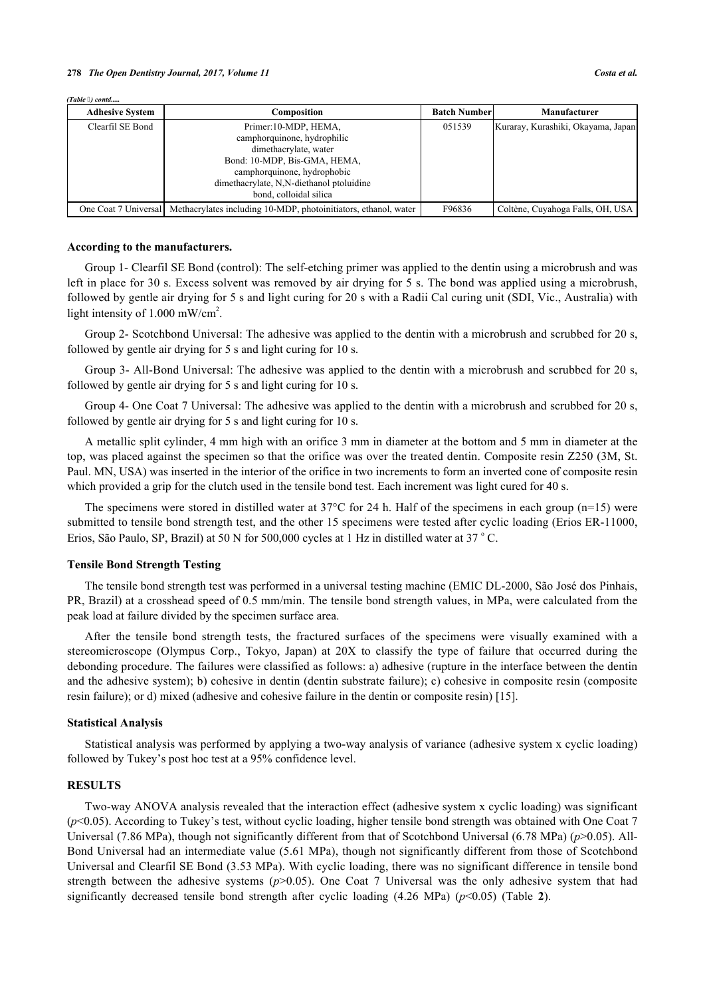*(Table ) contd.....*

| <b>Adhesive System</b> | Composition                                                                          | <b>Batch Numberl</b> | Manufacturer                       |
|------------------------|--------------------------------------------------------------------------------------|----------------------|------------------------------------|
| Clearfil SE Bond       | Primer:10-MDP, HEMA,                                                                 | 051539               | Kuraray, Kurashiki, Okayama, Japan |
|                        | camphorquinone, hydrophilic                                                          |                      |                                    |
|                        | dimethacrylate, water                                                                |                      |                                    |
|                        | Bond: 10-MDP, Bis-GMA, HEMA,                                                         |                      |                                    |
|                        | camphorquinone, hydrophobic                                                          |                      |                                    |
|                        | dimethacrylate, N,N-diethanol ptoluidine                                             |                      |                                    |
|                        | bond, colloidal silica                                                               |                      |                                    |
|                        | One Coat 7 Universal Methacrylates including 10-MDP, photoinitiators, ethanol, water | F96836               | Coltène, Cuvahoga Falls, OH, USA   |

#### **According to the manufacturers.**

Group 1- Clearfil SE Bond (control): The self-etching primer was applied to the dentin using a microbrush and was left in place for 30 s. Excess solvent was removed by air drying for 5 s. The bond was applied using a microbrush, followed by gentle air drying for 5 s and light curing for 20 s with a Radii Cal curing unit (SDI, Vic., Australia) with light intensity of 1.000 mW/cm<sup>2</sup>.

Group 2- Scotchbond Universal: The adhesive was applied to the dentin with a microbrush and scrubbed for 20 s, followed by gentle air drying for 5 s and light curing for 10 s.

Group 3- All-Bond Universal: The adhesive was applied to the dentin with a microbrush and scrubbed for 20 s, followed by gentle air drying for 5 s and light curing for 10 s.

Group 4- One Coat 7 Universal: The adhesive was applied to the dentin with a microbrush and scrubbed for 20 s, followed by gentle air drying for 5 s and light curing for 10 s.

A metallic split cylinder, 4 mm high with an orifice 3 mm in diameter at the bottom and 5 mm in diameter at the top, was placed against the specimen so that the orifice was over the treated dentin. Composite resin Z250 (3M, St. Paul. MN, USA) was inserted in the interior of the orifice in two increments to form an inverted cone of composite resin which provided a grip for the clutch used in the tensile bond test. Each increment was light cured for 40 s.

The specimens were stored in distilled water at  $37^{\circ}$ C for 24 h. Half of the specimens in each group (n=15) were submitted to tensile bond strength test, and the other 15 specimens were tested after cyclic loading (Erios ER-11000, Erios, São Paulo, SP, Brazil) at 50 N for 500,000 cycles at 1 Hz in distilled water at 37 °C.

# **Tensile Bond Strength Testing**

The tensile bond strength test was performed in a universal testing machine (EMIC DL-2000, São José dos Pinhais, PR, Brazil) at a crosshead speed of 0.5 mm/min. The tensile bond strength values, in MPa, were calculated from the peak load at failure divided by the specimen surface area.

After the tensile bond strength tests, the fractured surfaces of the specimens were visually examined with a stereomicroscope (Olympus Corp., Tokyo, Japan) at 20X to classify the type of failure that occurred during the debonding procedure. The failures were classified as follows: a) adhesive (rupture in the interface between the dentin and the adhesive system); b) cohesive in dentin (dentin substrate failure); c) cohesive in composite resin (composite resin failure); or d) mixed (adhesive and cohesive failure in the dentin or composite resin) [[15\]](#page-6-6).

#### **Statistical Analysis**

Statistical analysis was performed by applying a two-way analysis of variance (adhesive system x cyclic loading) followed by Tukey's post hoc test at a 95% confidence level.

# **RESULTS**

Two-way ANOVA analysis revealed that the interaction effect (adhesive system x cyclic loading) was significant (*p*<0.05). According to Tukey's test, without cyclic loading, higher tensile bond strength was obtained with One Coat 7 Universal (7.86 MPa), though not significantly different from that of Scotchbond Universal (6.78 MPa) (*p*>0.05). All-Bond Universal had an intermediate value (5.61 MPa), though not significantly different from those of Scotchbond Universal and Clearfil SE Bond (3.53 MPa). With cyclic loading, there was no significant difference in tensile bond strength between the adhesive systems (*p*>0.05). One Coat 7 Universal was the only adhesive system that had significantlydecreased tensile bond strength after cyclic loading  $(4.26 \text{ MPa})$  ( $p<0.05$ ) (Table 2).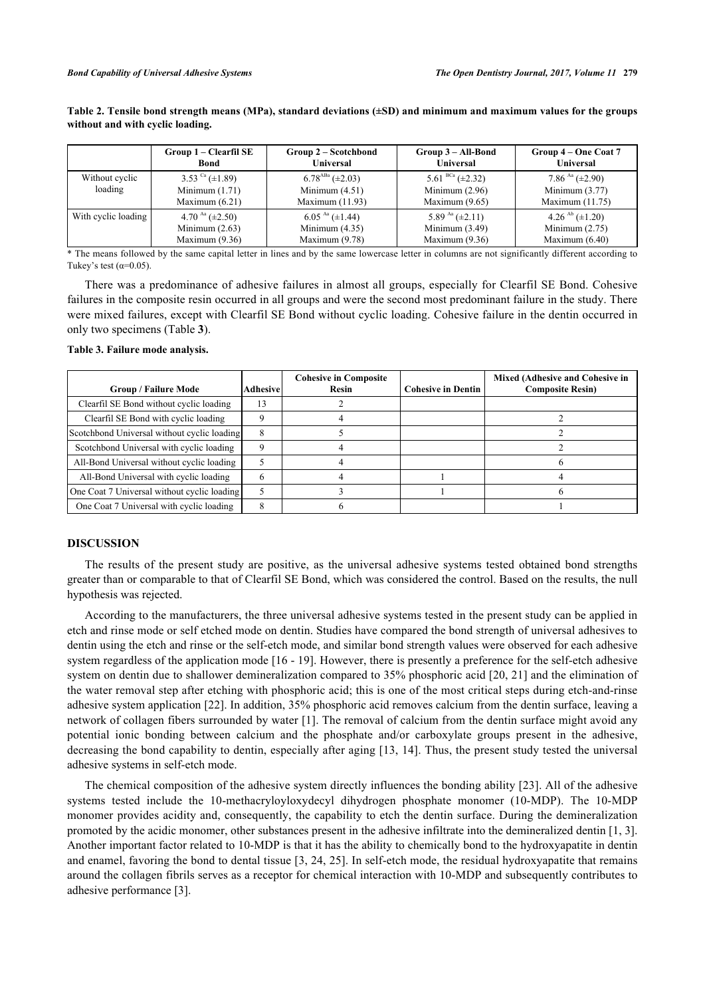|                           | Group 1 – Clearfil SE                                            | Group 2 – Scotchbond                                             | Group 3 – All-Bond                                               | Group 4 – One Coat 7                                                |
|---------------------------|------------------------------------------------------------------|------------------------------------------------------------------|------------------------------------------------------------------|---------------------------------------------------------------------|
|                           | <b>Bond</b>                                                      | <b>Universal</b>                                                 | <b>Universal</b>                                                 | <b>Universal</b>                                                    |
| Without cyclic<br>loading | 3.53 $\text{Ca}$ (±1.89)<br>Minimum $(1.71)$<br>Maximum $(6.21)$ | $6.78^{ABa} (\pm 2.03)$<br>Minimum $(4.51)$<br>Maximum $(11.93)$ | 5.61 $BCa$ ( $\pm$ 2.32)<br>Minimum $(2.96)$<br>Maximum $(9.65)$ | 7.86 $^{Aa}$ ( $\pm$ 2.90)<br>Minimum $(3.77)$<br>Maximum $(11.75)$ |
| With cyclic loading       | 4.70 $^{Aa}$ ( $\pm$ 2.50)                                       | $6.05^{Aa} (\pm 1.44)$                                           | 5.89 $^{Aa}$ ( $\pm$ 2.11)                                       | 4.26 $\rm^{Ab}$ ( $\pm 1.20$ )                                      |
|                           | Minimum $(2.63)$                                                 | Minimum $(4.35)$                                                 | Minimum $(3.49)$                                                 | Minimum $(2.75)$                                                    |
|                           | Maximum $(9.36)$                                                 | Maximum $(9.78)$                                                 | Maximum (9.36)                                                   | Maximum $(6.40)$                                                    |

<span id="page-3-0"></span>**Table 2. Tensile bond strength means (MPa), standard deviations (±SD) and minimum and maximum values for the groups without and with cyclic loading.**

\* The means followed by the same capital letter in lines and by the same lowercase letter in columns are not significantly different according to Tukey's test  $(\alpha=0.05)$ .

There was a predominance of adhesive failures in almost all groups, especially for Clearfil SE Bond. Cohesive failures in the composite resin occurred in all groups and were the second most predominant failure in the study. There were mixed failures, except with Clearfil SE Bond without cyclic loading. Cohesive failure in the dentin occurred in only two specimens (Table **[3](#page-3-1)**).

<span id="page-3-1"></span>**Table 3. Failure mode analysis.**

| <b>Group / Failure Mode</b>                 | <b>Adhesive</b> | <b>Cohesive in Composite</b><br>Resin | <b>Cohesive in Dentin</b> | <b>Mixed (Adhesive and Cohesive in</b><br><b>Composite Resin)</b> |
|---------------------------------------------|-----------------|---------------------------------------|---------------------------|-------------------------------------------------------------------|
| Clearfil SE Bond without cyclic loading     | 13              |                                       |                           |                                                                   |
| Clearfil SE Bond with cyclic loading        |                 |                                       |                           |                                                                   |
| Scotchbond Universal without cyclic loading | 8               |                                       |                           |                                                                   |
| Scotchbond Universal with cyclic loading    | Q               |                                       |                           |                                                                   |
| All-Bond Universal without cyclic loading   |                 |                                       |                           |                                                                   |
| All-Bond Universal with cyclic loading      | 6               |                                       |                           |                                                                   |
| One Coat 7 Universal without cyclic loading |                 |                                       |                           |                                                                   |
| One Coat 7 Universal with cyclic loading    | 8               |                                       |                           |                                                                   |

# **DISCUSSION**

The results of the present study are positive, as the universal adhesive systems tested obtained bond strengths greater than or comparable to that of Clearfil SE Bond, which was considered the control. Based on the results, the null hypothesis was rejected.

According to the manufacturers, the three universal adhesive systems tested in the present study can be applied in etch and rinse mode or self etched mode on dentin. Studies have compared the bond strength of universal adhesives to dentin using the etch and rinse or the self-etch mode, and similar bond strength values were observed for each adhesive system regardless of the application mode [[16](#page-6-7) - [19\]](#page-6-8). However, there is presently a preference for the self-etch adhesive system on dentin due to shallower demineralization compared to 35% phosphoric acid [[20,](#page-6-9) [21](#page-6-10)] and the elimination of the water removal step after etching with phosphoric acid; this is one of the most critical steps during etch-and-rinse adhesive system application [[22\]](#page-6-11). In addition, 35% phosphoric acid removes calcium from the dentin surface, leaving a network of collagen fibers surrounded by water [\[1](#page-5-0)]. The removal of calcium from the dentin surface might avoid any potential ionic bonding between calcium and the phosphate and/or carboxylate groups present in the adhesive, decreasing the bond capability to dentin, especially after aging [[13,](#page-6-4) [14\]](#page-6-5). Thus, the present study tested the universal adhesive systems in self-etch mode.

The chemical composition of the adhesive system directly influences the bonding ability [[23\]](#page-6-12). All of the adhesive systems tested include the 10-methacryloyloxydecyl dihydrogen phosphate monomer (10-MDP). The 10-MDP monomer provides acidity and, consequently, the capability to etch the dentin surface. During the demineralization promoted by the acidic monomer, other substances present in the adhesive infiltrate into the demineralized dentin [[1,](#page-5-0) [3\]](#page-5-2). Another important factor related to 10-MDP is that it has the ability to chemically bond to the hydroxyapatite in dentin and enamel, favoring the bond to dental tissue [\[3](#page-5-2), [24,](#page-6-13) [25](#page-6-14)]. In self-etch mode, the residual hydroxyapatite that remains around the collagen fibrils serves as a receptor for chemical interaction with 10-MDP and subsequently contributes to adhesive performance [[3\]](#page-5-2).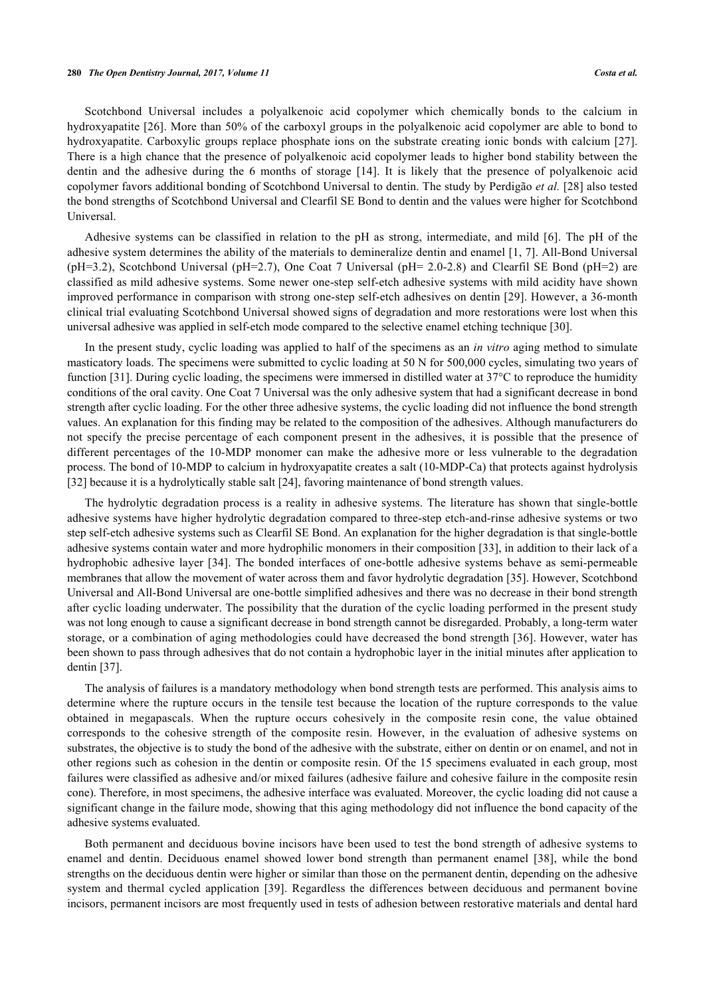#### **280** *The Open Dentistry Journal, 2017, Volume 11 Costa et al.*

Scotchbond Universal includes a polyalkenoic acid copolymer which chemically bonds to the calcium in hydroxyapatite [[26\]](#page-6-15). More than 50% of the carboxyl groups in the polyalkenoic acid copolymer are able to bond to hydroxyapatite. Carboxylic groups replace phosphate ions on the substrate creating ionic bonds with calcium [\[27\]](#page-6-16). There is a high chance that the presence of polyalkenoic acid copolymer leads to higher bond stability between the dentin and the adhesive during the 6 months of storage[[14\]](#page-6-5). It is likely that the presence of polyalkenoic acid copolymer favors additional bonding of Scotchbond Universal to dentin. The study by Perdigão *et al.* [\[28](#page-6-17)] also tested the bond strengths of Scotchbond Universal and Clearfil SE Bond to dentin and the values were higher for Scotchbond Universal.

Adhesive systems can be classified in relation to the pH as strong, intermediate, and mild[[6\]](#page-5-5). The pH of the adhesive system determines the ability of the materials to demineralize dentin and enamel [\[1](#page-5-0), [7\]](#page-5-6). All-Bond Universal (pH=3.2), Scotchbond Universal (pH=2.7), One Coat 7 Universal (pH= 2.0-2.8) and Clearfil SE Bond (pH=2) are classified as mild adhesive systems. Some newer one-step self-etch adhesive systems with mild acidity have shown improved performance in comparison with strong one-step self-etch adhesives on dentin [\[29](#page-6-18)]. However, a 36-month clinical trial evaluating Scotchbond Universal showed signs of degradation and more restorations were lost when this universal adhesive was applied in self-etch mode compared to the selective enamel etching technique [[30\]](#page-7-0).

In the present study, cyclic loading was applied to half of the specimens as an *in vitro* aging method to simulate masticatory loads. The specimens were submitted to cyclic loading at 50 N for 500,000 cycles, simulating two years of function [\[31](#page-7-1)]. During cyclic loading, the specimens were immersed in distilled water at 37°C to reproduce the humidity conditions of the oral cavity. One Coat 7 Universal was the only adhesive system that had a significant decrease in bond strength after cyclic loading. For the other three adhesive systems, the cyclic loading did not influence the bond strength values. An explanation for this finding may be related to the composition of the adhesives. Although manufacturers do not specify the precise percentage of each component present in the adhesives, it is possible that the presence of different percentages of the 10-MDP monomer can make the adhesive more or less vulnerable to the degradation process. The bond of 10-MDP to calcium in hydroxyapatite creates a salt (10-MDP-Ca) that protects against hydrolysis [\[32](#page-7-2)] because it is a hydrolytically stable salt [\[24](#page-6-13)], favoring maintenance of bond strength values.

The hydrolytic degradation process is a reality in adhesive systems. The literature has shown that single-bottle adhesive systems have higher hydrolytic degradation compared to three-step etch-and-rinse adhesive systems or two step self-etch adhesive systems such as Clearfil SE Bond. An explanation for the higher degradation is that single-bottle adhesive systems contain water and more hydrophilic monomers in their composition [[33\]](#page-7-3), in addition to their lack of a hydrophobic adhesive layer [[34](#page-7-4)]. The bonded interfaces of one-bottle adhesive systems behave as semi-permeable membranes that allow the movement of water across them and favor hydrolytic degradation [\[35](#page-7-5)]. However, Scotchbond Universal and All-Bond Universal are one-bottle simplified adhesives and there was no decrease in their bond strength after cyclic loading underwater. The possibility that the duration of the cyclic loading performed in the present study was not long enough to cause a significant decrease in bond strength cannot be disregarded. Probably, a long-term water storage, or a combination of aging methodologies could have decreased the bond strength [[36\]](#page-7-6). However, water has been shown to pass through adhesives that do not contain a hydrophobic layer in the initial minutes after application to dentin [[37\]](#page-7-7).

The analysis of failures is a mandatory methodology when bond strength tests are performed. This analysis aims to determine where the rupture occurs in the tensile test because the location of the rupture corresponds to the value obtained in megapascals. When the rupture occurs cohesively in the composite resin cone, the value obtained corresponds to the cohesive strength of the composite resin. However, in the evaluation of adhesive systems on substrates, the objective is to study the bond of the adhesive with the substrate, either on dentin or on enamel, and not in other regions such as cohesion in the dentin or composite resin. Of the 15 specimens evaluated in each group, most failures were classified as adhesive and/or mixed failures (adhesive failure and cohesive failure in the composite resin cone). Therefore, in most specimens, the adhesive interface was evaluated. Moreover, the cyclic loading did not cause a significant change in the failure mode, showing that this aging methodology did not influence the bond capacity of the adhesive systems evaluated.

Both permanent and deciduous bovine incisors have been used to test the bond strength of adhesive systems to enamel and dentin. Deciduous enamel showed lower bond strength than permanent enamel [\[38](#page-7-8)], while the bond strengths on the deciduous dentin were higher or similar than those on the permanent dentin, depending on the adhesive system and thermal cycled application[[39\]](#page-7-9). Regardless the differences between deciduous and permanent bovine incisors, permanent incisors are most frequently used in tests of adhesion between restorative materials and dental hard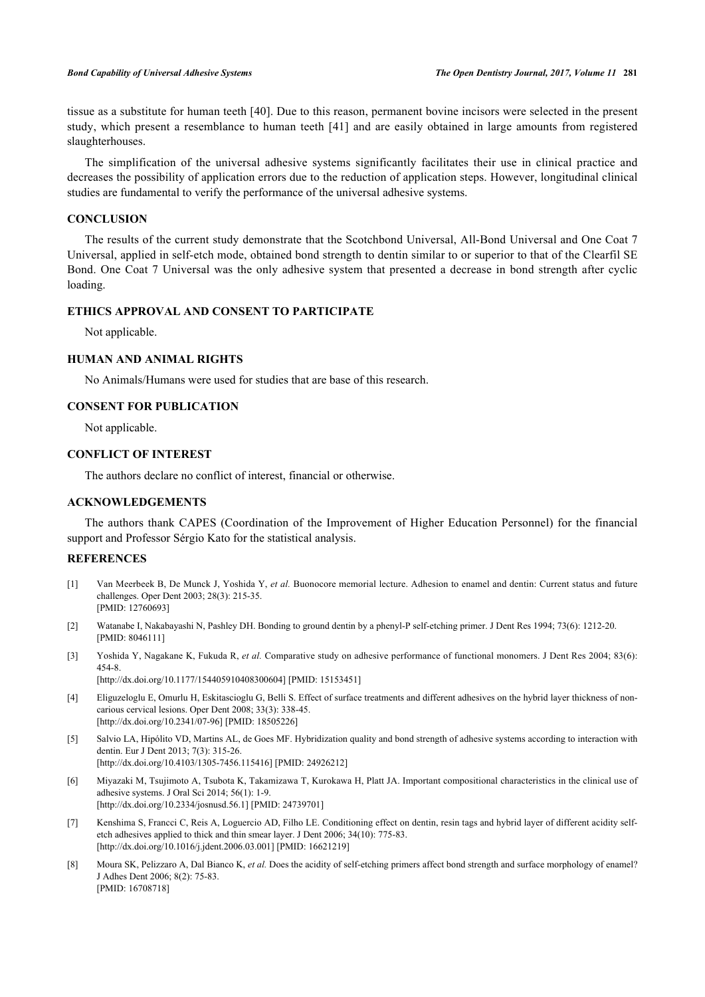tissue as a substitute for human teeth [[40\]](#page-7-10). Due to this reason, permanent bovine incisors were selected in the present study, which present a resemblance to human teeth [[41](#page-7-11)] and are easily obtained in large amounts from registered slaughterhouses.

The simplification of the universal adhesive systems significantly facilitates their use in clinical practice and decreases the possibility of application errors due to the reduction of application steps. However, longitudinal clinical studies are fundamental to verify the performance of the universal adhesive systems.

# **CONCLUSION**

The results of the current study demonstrate that the Scotchbond Universal, All-Bond Universal and One Coat 7 Universal, applied in self-etch mode, obtained bond strength to dentin similar to or superior to that of the Clearfil SE Bond. One Coat 7 Universal was the only adhesive system that presented a decrease in bond strength after cyclic loading.

# **ETHICS APPROVAL AND CONSENT TO PARTICIPATE**

Not applicable.

# **HUMAN AND ANIMAL RIGHTS**

No Animals/Humans were used for studies that are base of this research.

# **CONSENT FOR PUBLICATION**

Not applicable.

# **CONFLICT OF INTEREST**

The authors declare no conflict of interest, financial or otherwise.

# **ACKNOWLEDGEMENTS**

The authors thank CAPES (Coordination of the Improvement of Higher Education Personnel) for the financial support and Professor Sérgio Kato for the statistical analysis.

# **REFERENCES**

- <span id="page-5-0"></span>[1] Van Meerbeek B, De Munck J, Yoshida Y, *et al.* Buonocore memorial lecture. Adhesion to enamel and dentin: Current status and future challenges. Oper Dent 2003; 28(3): 215-35. [PMID: [12760693\]](http://www.ncbi.nlm.nih.gov/pubmed/12760693)
- <span id="page-5-1"></span>[2] Watanabe I, Nakabayashi N, Pashley DH. Bonding to ground dentin by a phenyl-P self-etching primer. J Dent Res 1994; 73(6): 1212-20. [PMID: [8046111\]](http://www.ncbi.nlm.nih.gov/pubmed/8046111)
- <span id="page-5-2"></span>[3] Yoshida Y, Nagakane K, Fukuda R, *et al.* Comparative study on adhesive performance of functional monomers. J Dent Res 2004; 83(6): 454-8. [\[http://dx.doi.org/10.1177/154405910408300604\]](http://dx.doi.org/10.1177/154405910408300604) [PMID: [15153451](http://www.ncbi.nlm.nih.gov/pubmed/15153451)]
- <span id="page-5-3"></span>[4] Eliguzeloglu E, Omurlu H, Eskitascioglu G, Belli S. Effect of surface treatments and different adhesives on the hybrid layer thickness of noncarious cervical lesions. Oper Dent 2008; 33(3): 338-45. [\[http://dx.doi.org/10.2341/07-96](http://dx.doi.org/10.2341/07-96)] [PMID: [18505226](http://www.ncbi.nlm.nih.gov/pubmed/18505226)]
- <span id="page-5-4"></span>[5] Salvio LA, Hipólito VD, Martins AL, de Goes MF. Hybridization quality and bond strength of adhesive systems according to interaction with dentin. Eur J Dent 2013; 7(3): 315-26. [\[http://dx.doi.org/10.4103/1305-7456.115416](http://dx.doi.org/10.4103/1305-7456.115416)] [PMID: [24926212](http://www.ncbi.nlm.nih.gov/pubmed/24926212)]
- <span id="page-5-5"></span>[6] Miyazaki M, Tsujimoto A, Tsubota K, Takamizawa T, Kurokawa H, Platt JA. Important compositional characteristics in the clinical use of adhesive systems. J Oral Sci 2014; 56(1): 1-9. [\[http://dx.doi.org/10.2334/josnusd.56.1](http://dx.doi.org/10.2334/josnusd.56.1)] [PMID: [24739701\]](http://www.ncbi.nlm.nih.gov/pubmed/24739701)
- <span id="page-5-6"></span>[7] Kenshima S, Francci C, Reis A, Loguercio AD, Filho LE. Conditioning effect on dentin, resin tags and hybrid layer of different acidity selfetch adhesives applied to thick and thin smear layer. J Dent 2006; 34(10): 775-83. [\[http://dx.doi.org/10.1016/j.jdent.2006.03.001](http://dx.doi.org/10.1016/j.jdent.2006.03.001)] [PMID: [16621219\]](http://www.ncbi.nlm.nih.gov/pubmed/16621219)
- <span id="page-5-7"></span>[8] Moura SK, Pelizzaro A, Dal Bianco K, *et al.* Does the acidity of self-etching primers affect bond strength and surface morphology of enamel? J Adhes Dent 2006; 8(2): 75-83. [PMID: [16708718\]](http://www.ncbi.nlm.nih.gov/pubmed/16708718)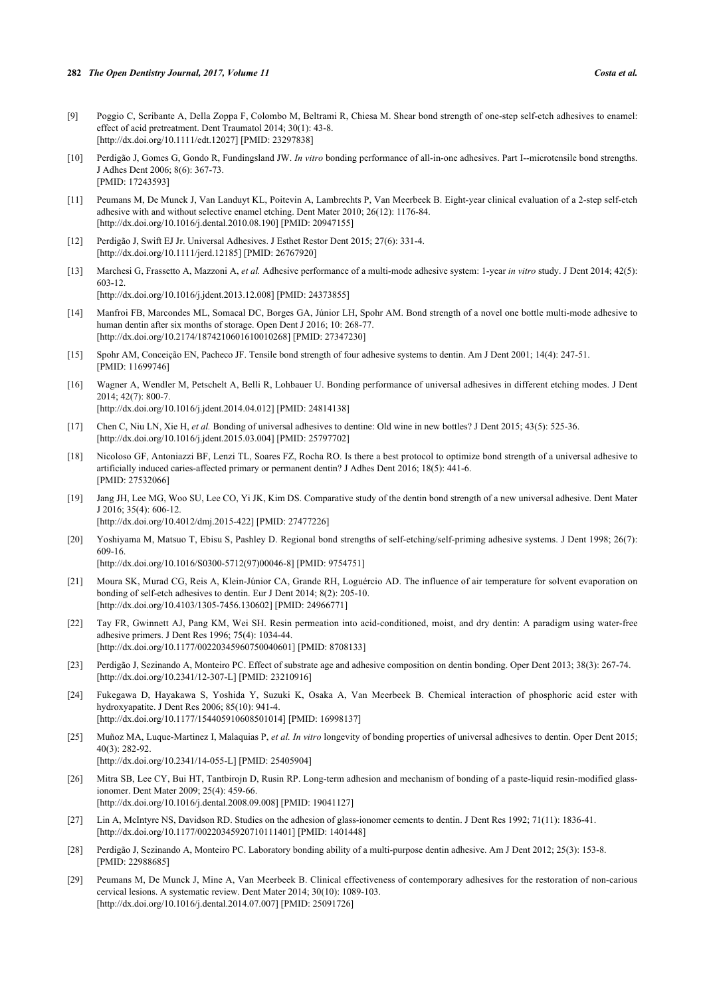- <span id="page-6-0"></span>[9] Poggio C, Scribante A, Della Zoppa F, Colombo M, Beltrami R, Chiesa M. Shear bond strength of one-step self-etch adhesives to enamel: effect of acid pretreatment. Dent Traumatol 2014; 30(1): 43-8. [\[http://dx.doi.org/10.1111/edt.12027\]](http://dx.doi.org/10.1111/edt.12027) [PMID: [23297838](http://www.ncbi.nlm.nih.gov/pubmed/23297838)]
- <span id="page-6-1"></span>[10] Perdigão J, Gomes G, Gondo R, Fundingsland JW. *In vitro* bonding performance of all-in-one adhesives. Part I--microtensile bond strengths. J Adhes Dent 2006; 8(6): 367-73. [PMID: [17243593\]](http://www.ncbi.nlm.nih.gov/pubmed/17243593)
- <span id="page-6-2"></span>[11] Peumans M, De Munck J, Van Landuyt KL, Poitevin A, Lambrechts P, Van Meerbeek B. Eight-year clinical evaluation of a 2-step self-etch adhesive with and without selective enamel etching. Dent Mater 2010; 26(12): 1176-84. [\[http://dx.doi.org/10.1016/j.dental.2010.08.190\]](http://dx.doi.org/10.1016/j.dental.2010.08.190) [PMID: [20947155](http://www.ncbi.nlm.nih.gov/pubmed/20947155)]
- <span id="page-6-3"></span>[12] Perdigão J, Swift EJ Jr. Universal Adhesives. J Esthet Restor Dent 2015; 27(6): 331-4. [\[http://dx.doi.org/10.1111/jerd.12185](http://dx.doi.org/10.1111/jerd.12185)] [PMID: [26767920\]](http://www.ncbi.nlm.nih.gov/pubmed/26767920)
- <span id="page-6-4"></span>[13] Marchesi G, Frassetto A, Mazzoni A, *et al.* Adhesive performance of a multi-mode adhesive system: 1-year *in vitro* study. J Dent 2014; 42(5): 603-12.

[\[http://dx.doi.org/10.1016/j.jdent.2013.12.008](http://dx.doi.org/10.1016/j.jdent.2013.12.008)] [PMID: [24373855\]](http://www.ncbi.nlm.nih.gov/pubmed/24373855)

- <span id="page-6-5"></span>[14] Manfroi FB, Marcondes ML, Somacal DC, Borges GA, Júnior LH, Spohr AM. Bond strength of a novel one bottle multi-mode adhesive to human dentin after six months of storage. Open Dent J 2016; 10: 268-77. [\[http://dx.doi.org/10.2174/1874210601610010268\]](http://dx.doi.org/10.2174/1874210601610010268) [PMID: [27347230](http://www.ncbi.nlm.nih.gov/pubmed/27347230)]
- <span id="page-6-6"></span>[15] Spohr AM, Conceição EN, Pacheco JF. Tensile bond strength of four adhesive systems to dentin. Am J Dent 2001; 14(4): 247-51. [PMID: [11699746\]](http://www.ncbi.nlm.nih.gov/pubmed/11699746)
- <span id="page-6-7"></span>[16] Wagner A, Wendler M, Petschelt A, Belli R, Lohbauer U. Bonding performance of universal adhesives in different etching modes. J Dent 2014; 42(7): 800-7. [\[http://dx.doi.org/10.1016/j.jdent.2014.04.012](http://dx.doi.org/10.1016/j.jdent.2014.04.012)] [PMID: [24814138\]](http://www.ncbi.nlm.nih.gov/pubmed/24814138)
- [17] Chen C, Niu LN, Xie H, *et al.* Bonding of universal adhesives to dentine: Old wine in new bottles? J Dent 2015; 43(5): 525-36. [\[http://dx.doi.org/10.1016/j.jdent.2015.03.004](http://dx.doi.org/10.1016/j.jdent.2015.03.004)] [PMID: [25797702\]](http://www.ncbi.nlm.nih.gov/pubmed/25797702)
- [18] Nicoloso GF, Antoniazzi BF, Lenzi TL, Soares FZ, Rocha RO. Is there a best protocol to optimize bond strength of a universal adhesive to artificially induced caries-affected primary or permanent dentin? J Adhes Dent 2016; 18(5): 441-6. [PMID: [27532066\]](http://www.ncbi.nlm.nih.gov/pubmed/27532066)
- <span id="page-6-8"></span>[19] Jang JH, Lee MG, Woo SU, Lee CO, Yi JK, Kim DS. Comparative study of the dentin bond strength of a new universal adhesive. Dent Mater J 2016; 35(4): 606-12. [\[http://dx.doi.org/10.4012/dmj.2015-422\]](http://dx.doi.org/10.4012/dmj.2015-422) [PMID: [27477226](http://www.ncbi.nlm.nih.gov/pubmed/27477226)]
- <span id="page-6-9"></span>[20] Yoshiyama M, Matsuo T, Ebisu S, Pashley D. Regional bond strengths of self-etching/self-priming adhesive systems. J Dent 1998; 26(7): 609-16. [\[http://dx.doi.org/10.1016/S0300-5712\(97\)00046-8\]](http://dx.doi.org/10.1016/S0300-5712(97)00046-8) [PMID: [9754751](http://www.ncbi.nlm.nih.gov/pubmed/9754751)]
- <span id="page-6-10"></span>[21] Moura SK, Murad CG, Reis A, Klein-Júnior CA, Grande RH, Loguércio AD. The influence of air temperature for solvent evaporation on bonding of self-etch adhesives to dentin. Eur J Dent 2014; 8(2): 205-10. [\[http://dx.doi.org/10.4103/1305-7456.130602](http://dx.doi.org/10.4103/1305-7456.130602)] [PMID: [24966771](http://www.ncbi.nlm.nih.gov/pubmed/24966771)]
- <span id="page-6-11"></span>[22] Tay FR, Gwinnett AJ, Pang KM, Wei SH. Resin permeation into acid-conditioned, moist, and dry dentin: A paradigm using water-free adhesive primers. J Dent Res 1996; 75(4): 1034-44. [\[http://dx.doi.org/10.1177/00220345960750040601\]](http://dx.doi.org/10.1177/00220345960750040601) [PMID: [8708133](http://www.ncbi.nlm.nih.gov/pubmed/8708133)]
- <span id="page-6-12"></span>[23] Perdigão J, Sezinando A, Monteiro PC. Effect of substrate age and adhesive composition on dentin bonding. Oper Dent 2013; 38(3): 267-74. [\[http://dx.doi.org/10.2341/12-307-L](http://dx.doi.org/10.2341/12-307-L)] [PMID: [23210916\]](http://www.ncbi.nlm.nih.gov/pubmed/23210916)
- <span id="page-6-13"></span>[24] Fukegawa D, Hayakawa S, Yoshida Y, Suzuki K, Osaka A, Van Meerbeek B. Chemical interaction of phosphoric acid ester with hydroxyapatite. J Dent Res 2006; 85(10): 941-4. [\[http://dx.doi.org/10.1177/154405910608501014\]](http://dx.doi.org/10.1177/154405910608501014) [PMID: [16998137](http://www.ncbi.nlm.nih.gov/pubmed/16998137)]
- <span id="page-6-14"></span>[25] Muñoz MA, Luque-Martinez I, Malaquias P, *et al. In vitro* longevity of bonding properties of universal adhesives to dentin. Oper Dent 2015; 40(3): 282-92. [\[http://dx.doi.org/10.2341/14-055-L](http://dx.doi.org/10.2341/14-055-L)] [PMID: [25405904\]](http://www.ncbi.nlm.nih.gov/pubmed/25405904)
- <span id="page-6-15"></span>[26] Mitra SB, Lee CY, Bui HT, Tantbirojn D, Rusin RP. Long-term adhesion and mechanism of bonding of a paste-liquid resin-modified glassionomer. Dent Mater 2009; 25(4): 459-66. [\[http://dx.doi.org/10.1016/j.dental.2008.09.008\]](http://dx.doi.org/10.1016/j.dental.2008.09.008) [PMID: [19041127](http://www.ncbi.nlm.nih.gov/pubmed/19041127)]
- <span id="page-6-16"></span>[27] Lin A, McIntyre NS, Davidson RD. Studies on the adhesion of glass-ionomer cements to dentin. J Dent Res 1992; 71(11): 1836-41. [\[http://dx.doi.org/10.1177/00220345920710111401\]](http://dx.doi.org/10.1177/00220345920710111401) [PMID: [1401448](http://www.ncbi.nlm.nih.gov/pubmed/1401448)]
- <span id="page-6-17"></span>[28] Perdigão J, Sezinando A, Monteiro PC. Laboratory bonding ability of a multi-purpose dentin adhesive. Am J Dent 2012; 25(3): 153-8. [PMID: [22988685\]](http://www.ncbi.nlm.nih.gov/pubmed/22988685)
- <span id="page-6-18"></span>[29] Peumans M, De Munck J, Mine A, Van Meerbeek B. Clinical effectiveness of contemporary adhesives for the restoration of non-carious cervical lesions. A systematic review. Dent Mater 2014; 30(10): 1089-103. [\[http://dx.doi.org/10.1016/j.dental.2014.07.007\]](http://dx.doi.org/10.1016/j.dental.2014.07.007) [PMID: [25091726](http://www.ncbi.nlm.nih.gov/pubmed/25091726)]